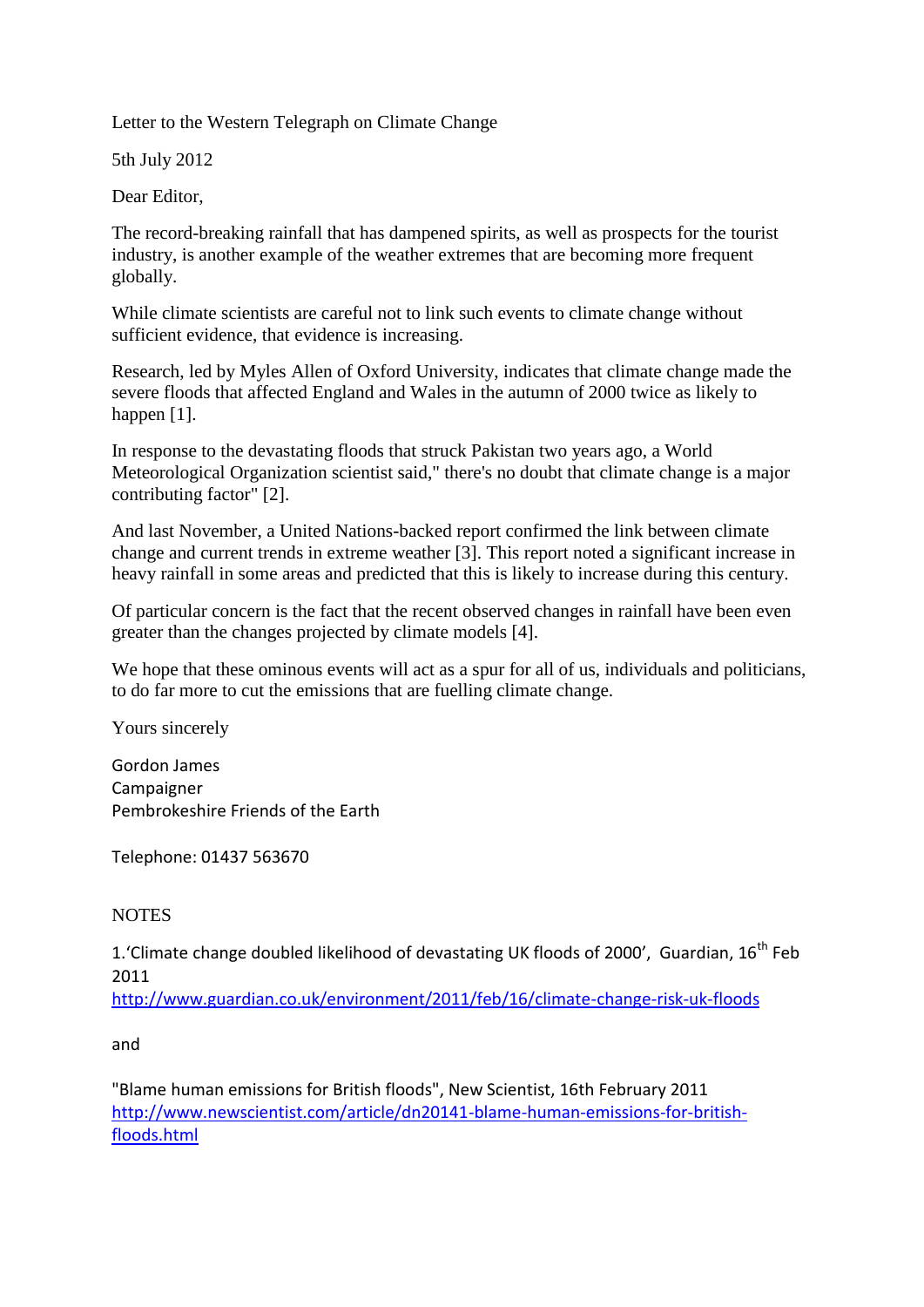Letter to the Western Telegraph on Climate Change

5th July 2012

Dear Editor,

The record-breaking rainfall that has dampened spirits, as well as prospects for the tourist industry, is another example of the weather extremes that are becoming more frequent globally.

While climate scientists are careful not to link such events to climate change without sufficient evidence, that evidence is increasing.

Research, led by Myles Allen of Oxford University, indicates that climate change made the severe floods that affected England and Wales in the autumn of 2000 twice as likely to happen [1].

In response to the devastating floods that struck Pakistan two years ago, a World Meteorological Organization scientist said," there's no doubt that climate change is a major contributing factor" [2].

And last November, a United Nations-backed report confirmed the link between climate change and current trends in extreme weather [3]. This report noted a significant increase in heavy rainfall in some areas and predicted that this is likely to increase during this century.

Of particular concern is the fact that the recent observed changes in rainfall have been even greater than the changes projected by climate models [4].

We hope that these ominous events will act as a spur for all of us, individuals and politicians, to do far more to cut the emissions that are fuelling climate change.

Yours sincerely

Gordon James Campaigner Pembrokeshire Friends of the Earth

Telephone: 01437 563670

## **NOTES**

1.'Climate change doubled likelihood of devastating UK floods of 2000', Guardian, 16<sup>th</sup> Feb 2011

<http://www.guardian.co.uk/environment/2011/feb/16/climate-change-risk-uk-floods>

and

"Blame human emissions for British floods", New Scientist, 16th February 2011 [http://www.newscientist.com/article/dn20141-blame-human-emissions-for-british](http://www.newscientist.com/article/dn20141-blame-human-emissions-for-british-floods.html)[floods.html](http://www.newscientist.com/article/dn20141-blame-human-emissions-for-british-floods.html)